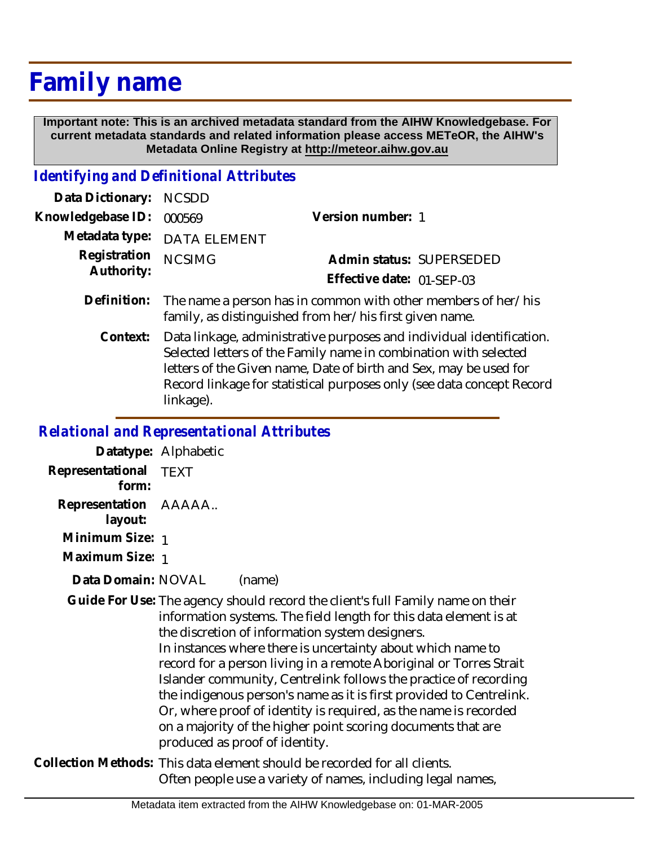# **Family name**

 **Important note: This is an archived metadata standard from the AIHW Knowledgebase. For current metadata standards and related information please access METeOR, the AIHW's Metadata Online Registry at http://meteor.aihw.gov.au**

#### *Identifying and Definitional Attributes*

| Data Dictionary: NCSDD   |                                                                           |                           |                          |
|--------------------------|---------------------------------------------------------------------------|---------------------------|--------------------------|
| Knowledgebase ID: 000569 |                                                                           | Version number: 1         |                          |
|                          | Metadata type: DATA ELEMENT                                               |                           |                          |
| Registration NCSIMG      |                                                                           |                           | Admin status: SUPERSEDED |
| Authority:               |                                                                           | Effective date: 01-SEP-03 |                          |
|                          | Definition: The name a person has in common with other members of her/his |                           |                          |

family, as distinguished from her/his first given name. Data linkage, administrative purposes and individual identification. Selected letters of the Family name in combination with selected letters of the Given name, Date of birth and Sex, may be used for Record linkage for statistical purposes only (see data concept Record linkage). **Context:**

## *Relational and Representational Attributes*

**Datatype:** Alphabetic **Representational** TEXT  **form: Representation** AAAAA..  **layout: Minimum Size:** 1

**Maximum Size:** 1

Data Domain: NOVAL (name)

Guide For Use: The agency should record the client's full Family name on their information systems. The field length for this data element is at the discretion of information system designers. In instances where there is uncertainty about which name to record for a person living in a remote Aboriginal or Torres Strait Islander community, Centrelink follows the practice of recording the indigenous person's name as it is first provided to Centrelink. Or, where proof of identity is required, as the name is recorded on a majority of the higher point scoring documents that are produced as proof of identity.

Collection Methods: This data element should be recorded for all clients. Often people use a variety of names, including legal names,